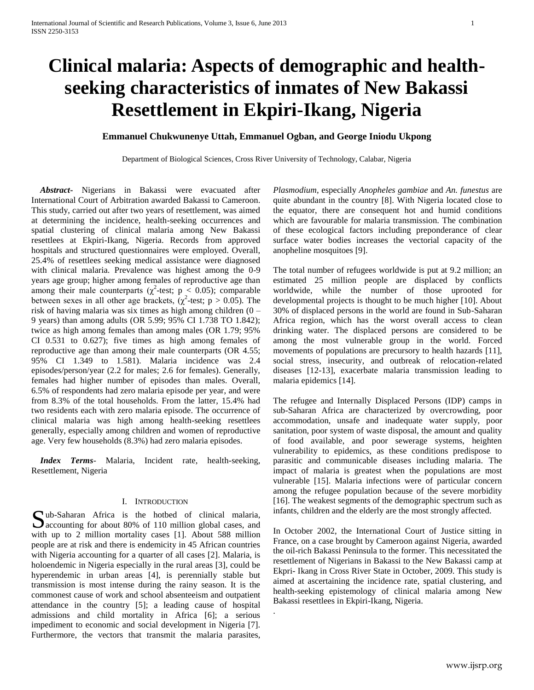# **Clinical malaria: Aspects of demographic and healthseeking characteristics of inmates of New Bakassi Resettlement in Ekpiri-Ikang, Nigeria**

# **Emmanuel Chukwunenye Uttah, Emmanuel Ogban, and George Iniodu Ukpong**

Department of Biological Sciences, Cross River University of Technology, Calabar, Nigeria

.

 *Abstract***-** Nigerians in Bakassi were evacuated after International Court of Arbitration awarded Bakassi to Cameroon. This study, carried out after two years of resettlement, was aimed at determining the incidence, health-seeking occurrences and spatial clustering of clinical malaria among New Bakassi resettlees at Ekpiri-Ikang, Nigeria. Records from approved hospitals and structured questionnaires were employed. Overall, 25.4% of resettlees seeking medical assistance were diagnosed with clinical malaria. Prevalence was highest among the 0-9 years age group; higher among females of reproductive age than among their male counterparts ( $\chi^2$ -test; p < 0.05); comparable between sexes in all other age brackets,  $(\chi^2$ -test; p > 0.05). The risk of having malaria was six times as high among children (0 – 9 years) than among adults (OR 5.99; 95% CI 1.738 TO 1.842); twice as high among females than among males (OR 1.79; 95% CI 0.531 to 0.627); five times as high among females of reproductive age than among their male counterparts (OR 4.55; 95% CI 1.349 to 1.581). Malaria incidence was 2.4 episodes/person/year (2.2 for males; 2.6 for females). Generally, females had higher number of episodes than males. Overall, 6.5% of respondents had zero malaria episode per year, and were from 8.3% of the total households. From the latter, 15.4% had two residents each with zero malaria episode. The occurrence of clinical malaria was high among health-seeking resettlees generally, especially among children and women of reproductive age. Very few households (8.3%) had zero malaria episodes.

 *Index Terms*- Malaria, Incident rate, health-seeking, Resettlement, Nigeria

# I. INTRODUCTION

ub-Saharan Africa is the hotbed of clinical malaria, Sub-Saharan Africa is the hotbed of clinical malaria,<br>Accounting for about 80% of 110 million global cases, and<br> $\frac{1}{2}$ with up to 2 million mortality cases [1]. About 588 million people are at risk and there is endemicity in 45 African countries with Nigeria accounting for a quarter of all cases [2]. Malaria, is holoendemic in Nigeria especially in the rural areas [3], could be hyperendemic in urban areas [4], is perennially stable but transmission is most intense during the rainy season. It is the commonest cause of work and school absenteeism and outpatient attendance in the country [5]; a leading cause of hospital admissions and child mortality in Africa [6]; a serious impediment to economic and social development in Nigeria [7]. Furthermore, the vectors that transmit the malaria parasites,

*Plasmodium*, especially *Anopheles gambiae* and *An. funestus* are quite abundant in the country [8]. With Nigeria located close to the equator, there are consequent hot and humid conditions which are favourable for malaria transmission. The combination of these ecological factors including preponderance of clear surface water bodies increases the vectorial capacity of the anopheline mosquitoes [9].

The total number of refugees worldwide is put at 9.2 million; an estimated 25 million people are displaced by conflicts worldwide, while the number of those uprooted for developmental projects is thought to be much higher [10]. About 30% of displaced persons in the world are found in Sub-Saharan Africa region, which has the worst overall access to clean drinking water. The displaced persons are considered to be among the most vulnerable group in the world. Forced movements of populations are precursory to health hazards [11], social stress, insecurity, and outbreak of relocation-related diseases [12-13], exacerbate malaria transmission leading to malaria epidemics [14].

The refugee and Internally Displaced Persons (IDP) camps in sub-Saharan Africa are characterized by overcrowding, poor accommodation, unsafe and inadequate water supply, poor sanitation, poor system of waste disposal, the amount and quality of food available, and poor sewerage systems, heighten vulnerability to epidemics, as these conditions predispose to parasitic and communicable diseases including malaria. The impact of malaria is greatest when the populations are most vulnerable [15]. Malaria infections were of particular concern among the refugee population because of the severe morbidity [16]. The weakest segments of the demographic spectrum such as infants, children and the elderly are the most strongly affected.

In October 2002, the International Court of Justice sitting in France, on a case brought by Cameroon against Nigeria, awarded the oil-rich Bakassi Peninsula to the former. This necessitated the resettlement of Nigerians in Bakassi to the New Bakassi camp at Ekpri- Ikang in Cross River State in October, 2009. This study is aimed at ascertaining the incidence rate, spatial clustering, and health-seeking epistemology of clinical malaria among New Bakassi resettlees in Ekpiri-Ikang, Nigeria.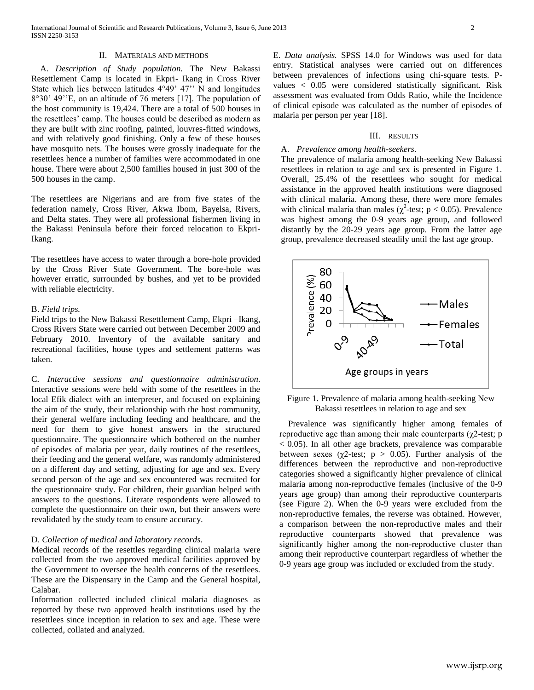## II. MATERIALS AND METHODS

 A. *Description of Study population.* The New Bakassi Resettlement Camp is located in Ekpri- Ikang in Cross River State which lies between latitudes 4°49' 47'' N and longitudes 8°30' 49''E, on an altitude of 76 meters [17]. The population of the host community is 19,424. There are a total of 500 houses in the resettlees' camp. The houses could be described as modern as they are built with zinc roofing, painted, louvres-fitted windows, and with relatively good finishing. Only a few of these houses have mosquito nets. The houses were grossly inadequate for the resettlees hence a number of families were accommodated in one house. There were about 2,500 families housed in just 300 of the 500 houses in the camp.

The resettlees are Nigerians and are from five states of the federation namely, Cross River, Akwa Ibom, Bayelsa, Rivers, and Delta states. They were all professional fishermen living in the Bakassi Peninsula before their forced relocation to Ekpri-Ikang.

The resettlees have access to water through a bore-hole provided by the Cross River State Government. The bore-hole was however erratic, surrounded by bushes, and yet to be provided with reliable electricity.

#### B. *Field trips.*

Field trips to the New Bakassi Resettlement Camp, Ekpri –Ikang, Cross Rivers State were carried out between December 2009 and February 2010. Inventory of the available sanitary and recreational facilities, house types and settlement patterns was taken.

C. *Interactive sessions and questionnaire administration.*  Interactive sessions were held with some of the resettlees in the local Efik dialect with an interpreter, and focused on explaining the aim of the study, their relationship with the host community, their general welfare including feeding and healthcare, and the need for them to give honest answers in the structured questionnaire. The questionnaire which bothered on the number of episodes of malaria per year, daily routines of the resettlees, their feeding and the general welfare, was randomly administered on a different day and setting, adjusting for age and sex. Every second person of the age and sex encountered was recruited for the questionnaire study. For children, their guardian helped with answers to the questions. Literate respondents were allowed to complete the questionnaire on their own, but their answers were revalidated by the study team to ensure accuracy.

#### D. *Collection of medical and laboratory records.*

Medical records of the resettles regarding clinical malaria were collected from the two approved medical facilities approved by the Government to oversee the health concerns of the resettlees. These are the Dispensary in the Camp and the General hospital, Calabar.

Information collected included clinical malaria diagnoses as reported by these two approved health institutions used by the resettlees since inception in relation to sex and age. These were collected, collated and analyzed.

E. *Data analysis.* SPSS 14.0 for Windows was used for data entry. Statistical analyses were carried out on differences between prevalences of infections using chi-square tests. Pvalues < 0.05 were considered statistically significant. Risk assessment was evaluated from Odds Ratio, while the Incidence of clinical episode was calculated as the number of episodes of malaria per person per year [18].

#### III. RESULTS

## A. *Prevalence among health-seekers*.

The prevalence of malaria among health-seeking New Bakassi resettlees in relation to age and sex is presented in Figure 1. Overall, 25.4% of the resettlees who sought for medical assistance in the approved health institutions were diagnosed with clinical malaria. Among these, there were more females with clinical malaria than males ( $\chi^2$ -test; p < 0.05). Prevalence was highest among the 0-9 years age group, and followed distantly by the 20-29 years age group. From the latter age group, prevalence decreased steadily until the last age group.



Figure 1. Prevalence of malaria among health-seeking New Bakassi resettlees in relation to age and sex

 Prevalence was significantly higher among females of reproductive age than among their male counterparts (χ2-test; p < 0.05). In all other age brackets, prevalence was comparable between sexes ( $\chi$ 2-test;  $p > 0.05$ ). Further analysis of the differences between the reproductive and non-reproductive categories showed a significantly higher prevalence of clinical malaria among non-reproductive females (inclusive of the 0-9 years age group) than among their reproductive counterparts (see Figure 2). When the 0-9 years were excluded from the non-reproductive females, the reverse was obtained. However, a comparison between the non-reproductive males and their reproductive counterparts showed that prevalence was significantly higher among the non-reproductive cluster than among their reproductive counterpart regardless of whether the 0-9 years age group was included or excluded from the study.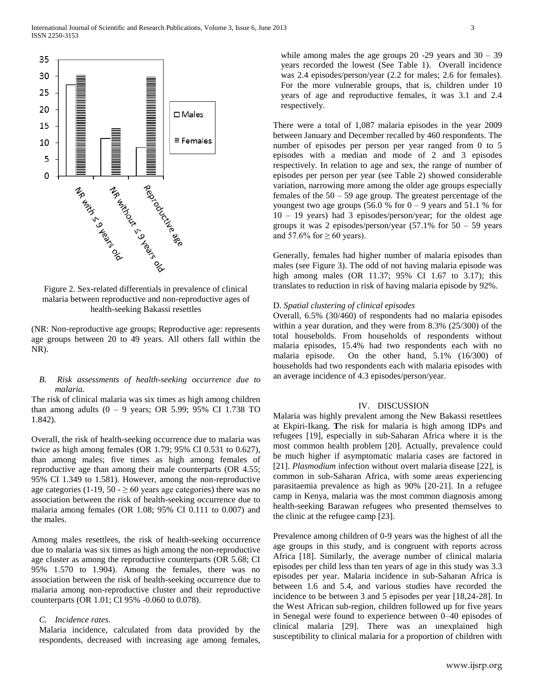

Figure 2. Sex-related differentials in prevalence of clinical malaria between reproductive and non-reproductive ages of health-seeking Bakassi resettles

(NR: Non-reproductive age groups; Reproductive age: represents age groups between 20 to 49 years. All others fall within the NR).

# *B. Risk assessments of health-seeking occurrence due to malaria.*

The risk of clinical malaria was six times as high among children than among adults  $(0 - 9$  years; OR 5.99; 95% CI 1.738 TO 1.842).

Overall, the risk of health-seeking occurrence due to malaria was twice as high among females (OR 1.79; 95% CI 0.531 to 0.627), than among males; five times as high among females of reproductive age than among their male counterparts (OR 4.55; 95% CI 1.349 to 1.581). However, among the non-reproductive age categories (1-19, 50 -  $\geq$  60 years age categories) there was no association between the risk of health-seeking occurrence due to malaria among females (OR 1.08; 95% CI 0.111 to 0.007) and the males.

Among males resettlees, the risk of health-seeking occurrence due to malaria was six times as high among the non-reproductive age cluster as among the reproductive counterparts (OR 5.68; CI 95% 1.570 to 1.904). Among the females, there was no association between the risk of health-seeking occurrence due to malaria among non-reproductive cluster and their reproductive counterparts (OR 1.01; CI 95% -0.060 to 0.078).

## *C. Incidence rates.*

Malaria incidence, calculated from data provided by the respondents, decreased with increasing age among females,

while among males the age groups  $20 - 29$  years and  $30 - 39$ years recorded the lowest (See Table 1). Overall incidence was 2.4 episodes/person/year (2.2 for males; 2.6 for females). For the more vulnerable groups, that is, children under 10 years of age and reproductive females, it was 3.1 and 2.4 respectively.

There were a total of 1,087 malaria episodes in the year 2009 between January and December recalled by 460 respondents. The number of episodes per person per year ranged from 0 to 5 episodes with a median and mode of 2 and 3 episodes respectively. In relation to age and sex, the range of number of episodes per person per year (see Table 2) showed considerable variation, narrowing more among the older age groups especially females of the  $50 - 59$  age group. The greatest percentage of the youngest two age groups (56.0 % for  $0 - 9$  years and 51.1 % for 10 – 19 years) had 3 episodes/person/year; for the oldest age groups it was 2 episodes/person/year  $(57.1\% \text{ for } 50 - 59 \text{ years})$ and 57.6% for  $\geq$  60 years).

Generally, females had higher number of malaria episodes than males (see Figure 3). The odd of not having malaria episode was high among males (OR 11.37; 95% CI 1.67 to 3.17); this translates to reduction in risk of having malaria episode by 92%.

## D. *Spatial clustering of clinical episodes*

Overall, 6.5% (30/460) of respondents had no malaria episodes within a year duration, and they were from 8.3% (25/300) of the total households. From households of respondents without malaria episodes, 15.4% had two respondents each with no malaria episode. On the other hand, 5.1% (16/300) of households had two respondents each with malaria episodes with an average incidence of 4.3 episodes/person/year.

## IV. DISCUSSION

Malaria was highly prevalent among the New Bakassi resettlees at Ekpiri-Ikang. **T**he risk for malaria is high among IDPs and refugees [19], especially in sub-Saharan Africa where it is the most common health problem [20]. Actually, prevalence could be much higher if asymptomatic malaria cases are factored in [21]. *Plasmodium* infection without overt malaria disease [22], is common in sub-Saharan Africa, with some areas experiencing parasitaemia prevalence as high as 90% [20-21]. In a refugee camp in Kenya, malaria was the most common diagnosis among health-seeking Barawan refugees who presented themselves to the clinic at the refugee camp [23].

Prevalence among children of 0-9 years was the highest of all the age groups in this study, and is congruent with reports across Africa [18]. Similarly, the average number of clinical malaria episodes per child less than ten years of age in this study was 3.3 episodes per year. Malaria incidence in sub-Saharan Africa is between 1.6 and 5.4, and various studies have recorded the incidence to be between 3 and 5 episodes per year [18,24-28]. In the West African sub-region, children followed up for five years in Senegal were found to experience between 0–40 episodes of clinical malaria [29]. There was an unexplained high susceptibility to clinical malaria for a proportion of children with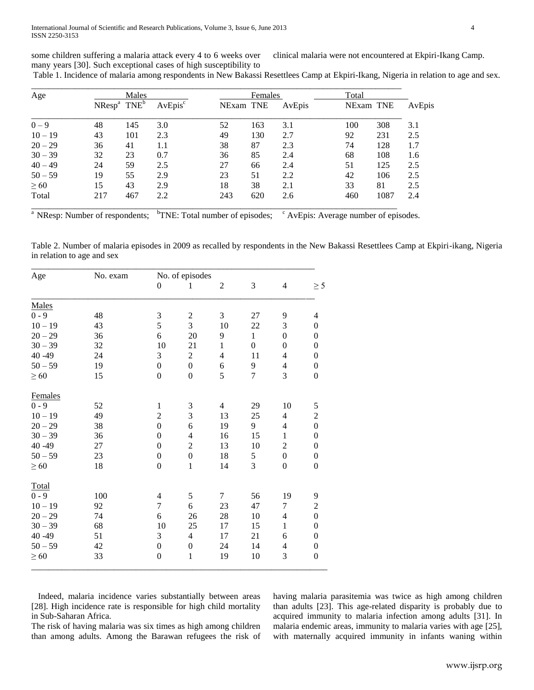some children suffering a malaria attack every 4 to 6 weeks over many years [30]. Such exceptional cases of high susceptibility to clinical malaria were not encountered at Ekpiri-Ikang Camp.

Table 1. Incidence of malaria among respondents in New Bakassi Resettlees Camp at Ekpiri-Ikang, Nigeria in relation to age and sex.

| Age       | Males                                     |     |                     | Females   |     |        | Total     |      |        |
|-----------|-------------------------------------------|-----|---------------------|-----------|-----|--------|-----------|------|--------|
|           | $N$ Resp <sup>a</sup> $T$ NE <sup>b</sup> |     | AvEpis <sup>c</sup> | NExam TNE |     | AvEpis | NExam TNE |      | AvEpis |
| $0 - 9$   | 48                                        | 145 | 3.0                 | 52        | 163 | 3.1    | 100       | 308  | 3.1    |
| $10 - 19$ | 43                                        | 101 | 2.3                 | 49        | 130 | 2.7    | 92        | 231  | 2.5    |
| $20 - 29$ | 36                                        | 41  | 1.1                 | 38        | 87  | 2.3    | 74        | 128  | 1.7    |
| $30 - 39$ | 32                                        | 23  | 0.7                 | 36        | 85  | 2.4    | 68        | 108  | 1.6    |
| $40 - 49$ | 24                                        | 59  | 2.5                 | 27        | 66  | 2.4    | 51        | 125  | 2.5    |
| $50 - 59$ | 19                                        | 55  | 2.9                 | 23        | 51  | 2.2    | 42        | 106  | 2.5    |
| $\geq 60$ | 15                                        | 43  | 2.9                 | 18        | 38  | 2.1    | 33        | 81   | 2.5    |
| Total     | 217                                       | 467 | 2.2                 | 243       | 620 | 2.6    | 460       | 1087 | 2.4    |

<sup>a</sup> NResp: Number of respondents; <sup>b</sup>TNE: Total number of episodes; <sup>c</sup> AvEpis: Average number of episodes.

Table 2. Number of malaria episodes in 2009 as recalled by respondents in the New Bakassi Resettlees Camp at Ekpiri-ikang, Nigeria in relation to age and sex

| Age       | No. exam | No. of episodes          |                  |                |                  |                          |                          |  |
|-----------|----------|--------------------------|------------------|----------------|------------------|--------------------------|--------------------------|--|
|           |          | $\boldsymbol{0}$         | $\mathbf{1}$     | $\mathfrak{2}$ | 3                | $\overline{4}$           | $\geq$ 5                 |  |
| Males     |          |                          |                  |                |                  |                          |                          |  |
| $0 - 9$   | 48       | 3                        | $\sqrt{2}$       | 3              | 27               | 9                        | $\overline{\mathcal{L}}$ |  |
| $10 - 19$ | 43       | 5                        | 3                | 10             | 22               | 3                        | $\boldsymbol{0}$         |  |
| $20 - 29$ | 36       | 6                        | 20               | 9              | $\mathbf{1}$     | $\boldsymbol{0}$         | $\boldsymbol{0}$         |  |
| $30 - 39$ | 32       | 10                       | 21               | $\mathbf{1}$   | $\boldsymbol{0}$ | $\boldsymbol{0}$         | $\boldsymbol{0}$         |  |
| 40 - 49   | 24       | 3                        | $\overline{c}$   | $\overline{4}$ | 11               | $\overline{4}$           | $\boldsymbol{0}$         |  |
| $50 - 59$ | 19       | $\boldsymbol{0}$         | $\boldsymbol{0}$ | 6              | 9                | $\overline{4}$           | $\boldsymbol{0}$         |  |
| $\geq 60$ | 15       | $\boldsymbol{0}$         | $\boldsymbol{0}$ | 5              | $\overline{7}$   | 3                        | $\boldsymbol{0}$         |  |
| Females   |          |                          |                  |                |                  |                          |                          |  |
| $0 - 9$   | 52       | $\mathbf{1}$             | 3                | $\overline{4}$ | 29               | 10                       | $\mathfrak s$            |  |
| $10 - 19$ | 49       | $\overline{2}$           | 3                | 13             | 25               | 4                        | $\overline{c}$           |  |
| $20 - 29$ | 38       | $\boldsymbol{0}$         | 6                | 19             | 9                | $\overline{4}$           | $\overline{0}$           |  |
| $30 - 39$ | 36       | $\overline{0}$           | $\overline{4}$   | 16             | 15               | $\mathbf{1}$             | $\boldsymbol{0}$         |  |
| 40 - 49   | 27       | $\boldsymbol{0}$         | $\overline{2}$   | 13             | 10               | $\overline{c}$           | $\boldsymbol{0}$         |  |
| $50 - 59$ | 23       | $\boldsymbol{0}$         | $\boldsymbol{0}$ | 18             | 5                | $\boldsymbol{0}$         | $\boldsymbol{0}$         |  |
| $\geq 60$ | 18       | $\boldsymbol{0}$         | $\mathbf{1}$     | 14             | $\overline{3}$   | $\boldsymbol{0}$         | $\boldsymbol{0}$         |  |
| Total     |          |                          |                  |                |                  |                          |                          |  |
| $0 - 9$   | 100      | $\overline{\mathcal{L}}$ | $\mathfrak s$    | 7              | 56               | 19                       | 9                        |  |
| $10 - 19$ | 92       | $\overline{7}$           | 6                | 23             | 47               | 7                        | $\overline{c}$           |  |
| $20 - 29$ | 74       | 6                        | 26               | 28             | 10               | $\overline{4}$           | $\overline{0}$           |  |
| $30 - 39$ | 68       | $10\,$                   | $25\,$           | 17             | 15               | $\mathbf{1}$             | $\boldsymbol{0}$         |  |
| $40 - 49$ | 51       | 3                        | $\overline{4}$   | 17             | 21               | 6                        | $\boldsymbol{0}$         |  |
| $50 - 59$ | 42       | $\boldsymbol{0}$         | $\boldsymbol{0}$ | 24             | 14               | $\overline{\mathcal{L}}$ | $\boldsymbol{0}$         |  |
| $\geq 60$ | 33       | $\boldsymbol{0}$         | $\,1\,$          | 19             | 10               | 3                        | $\boldsymbol{0}$         |  |

 Indeed, malaria incidence varies substantially between areas [28]. High incidence rate is responsible for high child mortality in Sub-Saharan Africa.

The risk of having malaria was six times as high among children than among adults. Among the Barawan refugees the risk of having malaria parasitemia was twice as high among children than adults [23]. This age-related disparity is probably due to acquired immunity to malaria infection among adults [31]. In malaria endemic areas, immunity to malaria varies with age [25], with maternally acquired immunity in infants waning within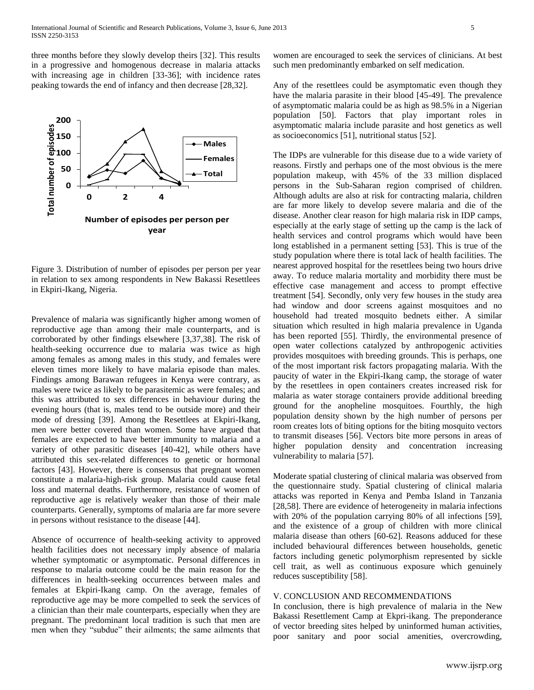three months before they slowly develop theirs [32]. This results in a progressive and homogenous decrease in malaria attacks with increasing age in children [33-36]; with incidence rates peaking towards the end of infancy and then decrease [28,32].



Figure 3. Distribution of number of episodes per person per year in relation to sex among respondents in New Bakassi Resettlees in Ekpiri-Ikang, Nigeria.

Prevalence of malaria was significantly higher among women of reproductive age than among their male counterparts, and is corroborated by other findings elsewhere [3,37,38]. The risk of health-seeking occurrence due to malaria was twice as high among females as among males in this study, and females were eleven times more likely to have malaria episode than males. Findings among Barawan refugees in Kenya were contrary, as males were twice as likely to be parasitemic as were females; and this was attributed to sex differences in behaviour during the evening hours (that is, males tend to be outside more) and their mode of dressing [39]. Among the Resettlees at Ekpiri-Ikang, men were better covered than women. Some have argued that females are expected to have better immunity to malaria and a variety of other parasitic diseases [40-42], while others have attributed this sex-related differences to genetic or hormonal factors [43]. However, there is consensus that pregnant women constitute a malaria-high-risk group. Malaria could cause fetal loss and maternal deaths. Furthermore, resistance of women of reproductive age is relatively weaker than those of their male counterparts. Generally, symptoms of malaria are far more severe in persons without resistance to the disease [44].

Absence of occurrence of health-seeking activity to approved health facilities does not necessary imply absence of malaria whether symptomatic or asymptomatic. Personal differences in response to malaria outcome could be the main reason for the differences in health-seeking occurrences between males and females at Ekpiri-Ikang camp. On the average, females of reproductive age may be more compelled to seek the services of a clinician than their male counterparts, especially when they are pregnant. The predominant local tradition is such that men are men when they "subdue" their ailments; the same ailments that

women are encouraged to seek the services of clinicians. At best such men predominantly embarked on self medication.

Any of the resettlees could be asymptomatic even though they have the malaria parasite in their blood [45-49]. The prevalence of asymptomatic malaria could be as high as 98.5% in a Nigerian population [50]. Factors that play important roles in asymptomatic malaria include parasite and host genetics as well as socioeconomics [51], nutritional status [52].

The IDPs are vulnerable for this disease due to a wide variety of reasons. Firstly and perhaps one of the most obvious is the mere population makeup, with 45% of the 33 million displaced persons in the Sub-Saharan region comprised of children. Although adults are also at risk for contracting malaria, children are far more likely to develop severe malaria and die of the disease. Another clear reason for high malaria risk in IDP camps, especially at the early stage of setting up the camp is the lack of health services and control programs which would have been long established in a permanent setting [53]. This is true of the study population where there is total lack of health facilities. The nearest approved hospital for the resettlees being two hours drive away. To reduce malaria mortality and morbidity there must be effective case management and access to prompt effective treatment [54]. Secondly, only very few houses in the study area had window and door screens against mosquitoes and no household had treated mosquito bednets either. A similar situation which resulted in high malaria prevalence in Uganda has been reported [55]. Thirdly, the environmental presence of open water collections catalyzed by anthropogenic activities provides mosquitoes with breeding grounds. This is perhaps, one of the most important risk factors propagating malaria. With the paucity of water in the Ekpiri-Ikang camp, the storage of water by the resettlees in open containers creates increased risk for malaria as water storage containers provide additional breeding ground for the anopheline mosquitoes. Fourthly, the high population density shown by the high number of persons per room creates lots of biting options for the biting mosquito vectors to transmit diseases [56]. Vectors bite more persons in areas of higher population density and concentration increasing vulnerability to malaria [57].

Moderate spatial clustering of clinical malaria was observed from the questionnaire study. Spatial clustering of clinical malaria attacks was reported in Kenya and Pemba Island in Tanzania [28,58]. There are evidence of heterogeneity in malaria infections with 20% of the population carrying 80% of all infections [59], and the existence of a group of children with more clinical malaria disease than others [60-62]. Reasons adduced for these included behavioural differences between households, genetic factors including genetic polymorphism represented by sickle cell trait, as well as continuous exposure which genuinely reduces susceptibility [58].

# V. CONCLUSION AND RECOMMENDATIONS

In conclusion, there is high prevalence of malaria in the New Bakassi Resettlement Camp at Ekpri-ikang. The preponderance of vector breeding sites helped by uninformed human activities, poor sanitary and poor social amenities, overcrowding,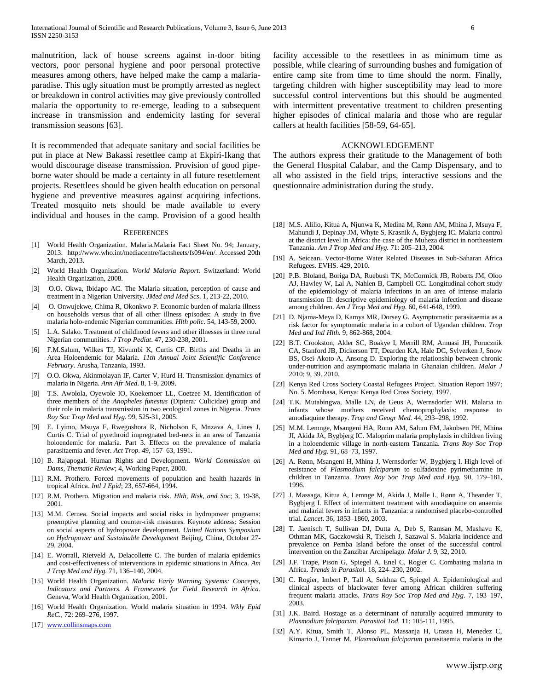malnutrition, lack of house screens against in-door biting vectors, poor personal hygiene and poor personal protective measures among others, have helped make the camp a malariaparadise. This ugly situation must be promptly arrested as neglect or breakdown in control activities may give previously controlled malaria the opportunity to re-emerge, leading to a subsequent increase in transmission and endemicity lasting for several transmission seasons [63].

It is recommended that adequate sanitary and social facilities be put in place at New Bakassi resettlee camp at Ekpiri-Ikang that would discourage disease transmission. Provision of good pipeborne water should be made a certainty in all future resettlement projects. Resettlees should be given health education on personal hygiene and preventive measures against acquiring infections. Treated mosquito nets should be made available to every individual and houses in the camp. Provision of a good health

#### **REFERENCES**

- [1] World Health Organization. Malaria.Malaria Fact Sheet No. 94; January, 2013. http://www.who.int/mediacentre/factsheets/fs094/en/. Accessed 20th March, 2013.
- [2] World Health Organization. *World Malaria Report*. Switzerland: World Health Organization, 2008.
- [3] O.O. Okwa, Ibidapo AC. The Malaria situation, perception of cause and treatment in a Nigerian University. *JMed and Med Scs*. 1, 213-22, 2010.
- [4] O. Onwujekwe, Chima R, Okonkwo P. Economic burden of malaria illness on households versus that of all other illness episodes: A study in five malaria holo-endemic Nigerian communities. *Hlth polic*. 54, 143-59, 2000.
- [5] L.A. Salako. Treatment of childhood fevers and other illnesses in three rural Nigerian communities. *J Trop Pediat*. 47, 230-238, 2001.
- [6] F.M.Salum, Wilkes TJ, Kivumbi K, Curtis CF. Births and Deaths in an Area Holoendemic for Malaria. *11th Annual Joint Scientific Conference February*. Arusha, Tanzania, 1993.
- [7] O.O. Okwa, Akinmolayan IF, Carter V, Hurd H. Transmission dynamics of malaria in Nigeria. *Ann Afr Med*. 8, 1-9, 2009.
- [8] T.S. Awolola, Oyewole IO, Koekemoer LL, Coetzee M. Identification of three members of the *Anopheles funestus* (Diptera*:* Culicidae) group and their role in malaria transmission in two ecological zones in Nigeria. *Trans Roy Soc Trop Med and Hyg.* 99, 525-31, 2005.
- [9] E. Lyimo, Msuya F, Rwegoshora R, Nicholson E, Mnzava A, Lines J, Curtis C. Trial of pyrethroid impregnated bed-nets in an area of Tanzania holoendemic for malaria. Part 3. Effects on the prevalence of malaria parasitaemia and fever. *Act Trop.* 49, 157–63, 1991.
- [10] B. Rajapogal. Human Rights and Development. *World Commission on Dams, Thematic Review*; 4, Working Paper, 2000.
- [11] R.M. Prothero. Forced movements of population and health hazards in tropical Africa. *Intl J Epid*; 23, 657-664, 1994.
- [12] R.M. Prothero. Migration and malaria risk. *Hlth, Risk, and Soc*; 3, 19-38, 2001.
- [13] M.M. Cernea. Social impacts and social risks in hydropower programs: preemptive planning and counter-risk measures. Keynote address: Session on social aspects of hydropower development. *United Nations Symposium on Hydropower and Sustainable Development* Beijing, China, October 27- 29, 2004.
- [14] E. Worrall, Rietveld A, Delacollette C. The burden of malaria epidemics and cost-effectiveness of interventions in epidemic situations in Africa. *Am J Trop Med and Hyg.* 71, 136–140, 2004.
- [15] World Health Organization. *Malaria Early Warning Systems: Concepts, Indicators and Partners. A Framework for Field Research in Africa*. Geneva, World Health Organization, 2001.
- [16] World Health Organization. World malaria situation in 1994. *Wkly Epid ReC.,* 72: 269–276, 1997.
- [17] [www.collinsmaps.com](http://www.collinsmaps.com/)

facility accessible to the resettlees in as minimum time as possible, while clearing of surrounding bushes and fumigation of entire camp site from time to time should the norm. Finally, targeting children with higher susceptibility may lead to more successful control interventions but this should be augmented with intermittent preventative treatment to children presenting higher episodes of clinical malaria and those who are regular callers at health facilities [58-59, 64-65].

## ACKNOWLEDGEMENT

The authors express their gratitude to the Management of both the General Hospital Calabar, and the Camp Dispensary, and to all who assisted in the field trips, interactive sessions and the questionnaire administration during the study.

- [18] M.S. Alilio, Kitua A, Njunwa K, Medina M, Rønn AM, Mhina J, Msuya F, Mahundi J, Depinay JM, Whyte S, Krasnik A, Bygbjerg IC. Malaria control at the district level in Africa: the case of the Muheza district in northeastern Tanzania. *Am J Trop Med and Hyg.* 71: 205–213, 2004.
- [19] A. Seicean. Vector-Borne Water Related Diseases in Sub-Saharan Africa Refugees. EVHS. 429, 2010.
- [20] P.B. Bloland, Boriga DA, Ruebush TK, McCormick JB, Roberts JM, Oloo AJ, Hawley W, Lal A, Nahlen B, Campbell CC. Longitudinal cohort study of the epidemiology of malaria infections in an area of intense malaria transmission II: descriptive epidemiology of malaria infection and disease among children. *Am J Trop Med and Hyg.* 60, 641-648, 1999.
- [21] D. Njama-Meya D, Kamya MR, Dorsey G. Asymptomatic parasitaemia as a risk factor for symptomatic malaria in a cohort of Ugandan children. *Trop Med and Intl Hlth.* 9, 862-868, 2004.
- [22] B.T. Crookston, Alder SC, Boakye I, Merrill RM, Amuasi JH, Porucznik CA, Stanford JB, Dickerson TT, Dearden KA, Hale DC, Sylverken J, Snow BS, Osei-Akoto A, Ansong D. Exploring the relationship between chronic under-nutrition and asymptomatic malaria in Ghanaian children. *Malar J*  2010; 9, 39. 2010.
- [23] Kenya Red Cross Society Coastal Refugees Project. Situation Report 1997; No. 5. Mombasa, Kenya: Kenya Red Cross Society, 1997.
- [24] T.K. Mutabingwa, Malle LN, de Geus A, Wernsdorfer WH. Malaria in infants whose mothers received chemoprophylaxis: response to amodiaquine therapy. *Trop and Geogr Med.* 44, 293–298, 1992.
- [25] M.M. Lemnge, Msangeni HA, Ronn AM, Salum FM, Jakobsen PH, Mhina JI, Akida JA, Bygbjerg IC. Maloprim malaria prophylaxis in children living in a holoendemic village in north-eastern Tanzania. *Trans Roy Soc Trop Med and Hyg.* 91, 68–73, 1997.
- [26] A. Rønn, Msangeni H, Mhina J, Wernsdorfer W, Bygbjerg I. High level of resistance of *Plasmodium falciparum* to sulfadoxine pyrimethamine in children in Tanzania. *Trans Roy Soc Trop Med and Hyg.* 90, 179–181, 1996.
- [27] J. Massaga, Kitua A, Lemnge M, Akida J, Malle L, Rønn A, Theander T, Bygbjerg I. Effect of intermittent treatment with amodiaquine on anaemia and malarial fevers in infants in Tanzania: a randomised placebo-controlled trial. *Lancet*. 36, 1853–1860, 2003.
- [28] T. Jaenisch T, Sullivan DJ, Dutta A, Deb S, Ramsan M, Mashavu K, Othman MK, Gaczkowski R, Tielsch J, Sazawal S. Malaria incidence and prevalence on Pemba Island before the onset of the successful control intervention on the Zanzibar Archipelago. *Malar J.* 9, 32, 2010.
- [29] J.F. Trape, Pison G, Spiegel A, Enel C, Rogier C. Combating malaria in Africa. *Trends in Parasitol.* 18, 224–230, 2002.
- [30] C. Rogier, Imbert P, Tall A, Sokhna C, Spiegel A. Epidemiological and clinical aspects of blackwater fever among African children suffering frequent malaria attacks. *Trans Roy Soc Trop Med and Hyg.* 7, 193–197, 2003.
- [31] J.K. Baird. Hostage as a determinant of naturally acquired immunity to *Plasmodium falciparum*. *Parasitol Tod.* 11: 105-111, 1995.
- [32] A.Y. Kitua, Smith T, Alonso PL, Massanja H, Urassa H, Menedez C, Kimario J, Tanner M. *Plasmodium falciparum* parasitaemia malaria in the